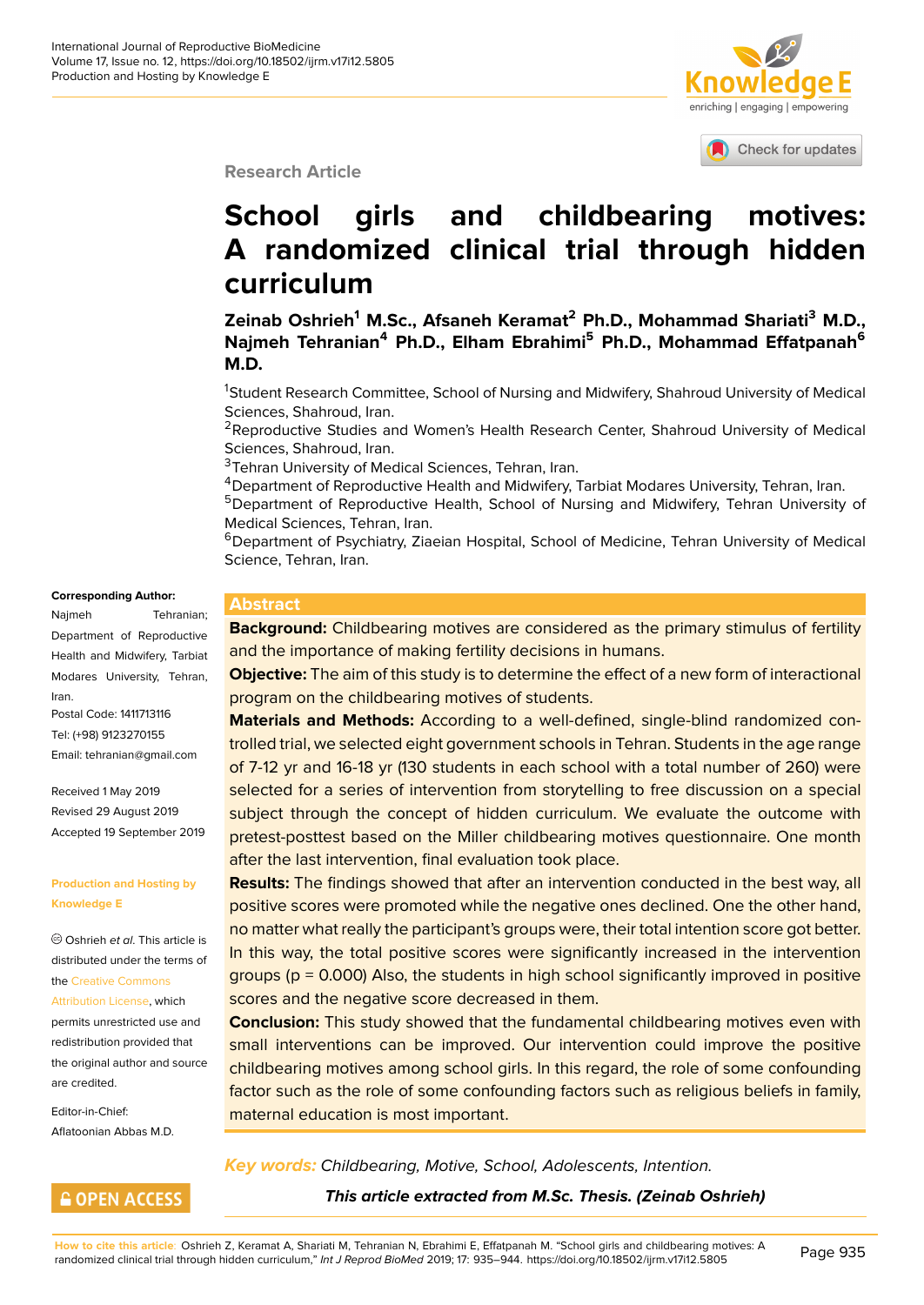

Check for updates

**Research Article**

# **School girls and childbearin[g motives:](http://crossmark.crossref.org/dialog/?doi=10.18502/ijrm.v17i12.5805&domain=pdf&date_stamp=2018-01-27) A randomized clinical trial through hidden curriculum**

**Zeinab Oshrieh<sup>1</sup> M.Sc., Afsaneh Keramat<sup>2</sup> Ph.D., Mohammad Shariati<sup>3</sup> M.D., Najmeh Tehranian<sup>4</sup> Ph.D., Elham Ebrahimi<sup>5</sup> Ph.D., Mohammad Effatpanah<sup>6</sup> M.D.**

<sup>1</sup>Student Research Committee, School of Nursing and Midwifery, Shahroud University of Medical Sciences, Shahroud, Iran.

<sup>2</sup>Reproductive Studies and Women's Health Research Center, Shahroud University of Medical Sciences, Shahroud, Iran.

<sup>3</sup>Tehran University of Medical Sciences, Tehran, Iran.

<sup>4</sup> Department of Reproductive Health and Midwifery, Tarbiat Modares University, Tehran, Iran.

<sup>5</sup>Department of Reproductive Health, School of Nursing and Midwifery, Tehran University of Medical Sciences, Tehran, Iran.

<sup>6</sup>Department of Psychiatry, Ziaeian Hospital, School of Medicine, Tehran University of Medical Science, Tehran, Iran.

#### **Corresponding Author:**

Najmeh Tehranian; Department of Reproductive Health and Midwifery, Tarbiat Modares University, Tehran, Iran. Postal Code: 1411713116

Tel: (+98) 9123270155 Email: tehranian@gmail.com

Received 1 May 2019 Revised 29 August 2019 Accep[ted 19 September 201](mailto:tehranian@gmail.com)9

#### **Production and Hosting by Knowledge E**

Oshrieh *et al*. This article is distributed under the terms of the Creative Commons

Attribution License, which

permits unrestricted use and redistribution provided that the [original author and](https://creativecommons.org/licenses/by/4.0/) source [are credited.](https://creativecommons.org/licenses/by/4.0/)

Editor-in-Chief: Aflatoonian Abbas M.D.

**GOPEN ACCESS** 

**Abstract**

**Background:** Childbearing motives are considered as the primary stimulus of fertility and the importance of making fertility decisions in humans.

**Objective:** The aim of this study is to determine the effect of a new form of interactional program on the childbearing motives of students.

**Materials and Methods:** According to a well-defined, single-blind randomized controlled trial, we selected eight government schools in Tehran. Students in the age range of 7-12 yr and 16-18 yr (130 students in each school with a total number of 260) were selected for a series of intervention from storytelling to free discussion on a special subject through the concept of hidden curriculum. We evaluate the outcome with pretest-posttest based on the Miller childbearing motives questionnaire. One month after the last intervention, final evaluation took place.

**Results:** The findings showed that after an intervention conducted in the best way, all positive scores were promoted while the negative ones declined. One the other hand, no matter what really the participant's groups were, their total intention score got better. In this way, the total positive scores were significantly increased in the intervention groups ( $p = 0.000$ ) Also, the students in high school significantly improved in positive scores and the negative score decreased in them.

**Conclusion:** This study showed that the fundamental childbearing motives even with small interventions can be improved. Our intervention could improve the positive childbearing motives among school girls. In this regard, the role of some confounding factor such as the role of some confounding factors such as religious beliefs in family, maternal education is most important.

*Key words: Childbearing, Motive, School, Adolescents, Intention.*

*This article extracted from M.Sc. Thesis. (Zeinab Oshrieh)*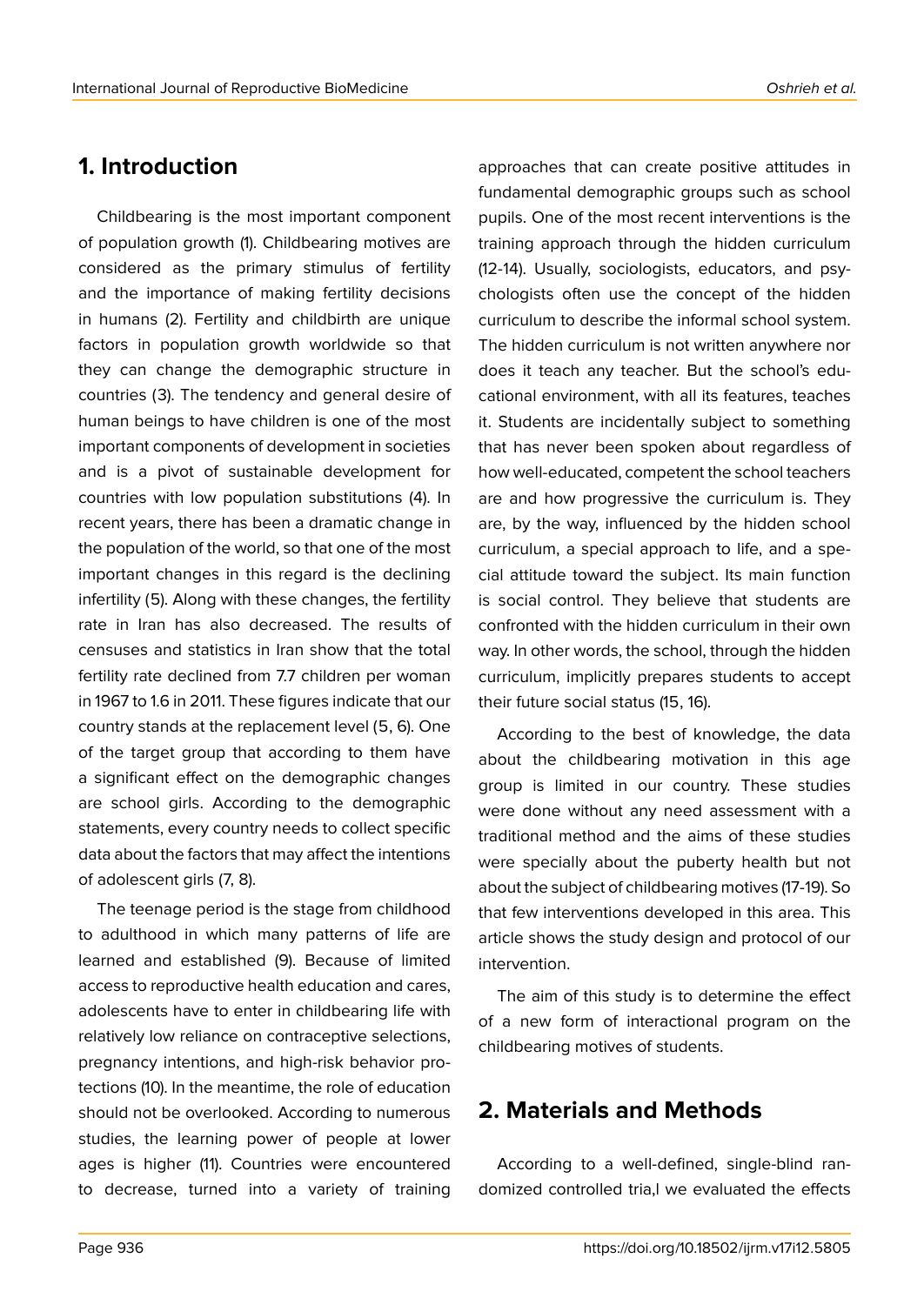## **1. Introduction**

Childbearing is the most important component of population growth (1). Childbearing motives are considered as the primary stimulus of fertility and the importance of making fertility decisions in humans (2). Fertility and childbirth are unique factors in population growth worldwide so that they can change the demographic structure in countries (3). The tendency and general desire of human beings to have children is one of the most important components of development in societies and is a pivot of sustainable development for countries with low population substitutions (4). In recent years, there has been a dramatic change in the population of the world, so that one of the most important changes in this regard is the declining infertility (5). Along with these changes, the fertility rate in Iran has also decreased. The results of censuses and statistics in Iran show that the total fertility rate declined from 7.7 children per woman in 1967 to 1.6 in 2011. These figures indicate that our country stands at the replacement level (5, 6). One of the target group that according to them have a significant effect on the demographic changes are school girls. According to the demographic statements, every country needs to collect specific data about the factors that may affect the intentions of adolescent girls (7, 8).

The teenage period is the stage from childhood to adulthood in which many patterns of life are learned and established (9). Because of limited access to reproductive health education and cares, adolescents have to enter in childbearing life with relatively low reliance on contraceptive selections, pregnancy intentions, and high-risk behavior protections (10). In the meantime, the role of education should not be overlooked. According to numerous studies, the learning power of people at lower ages is higher (11). Countries were encountered to decrease, turned into a variety of training

approaches that can create positive attitudes in fundamental demographic groups such as school pupils. One of the most recent interventions is the training approach through the hidden curriculum (12-14). Usually, sociologists, educators, and psychologists often use the concept of the hidden curriculum to describe the informal school system. The hidden curriculum is not written anywhere nor does it teach any teacher. But the school's educational environment, with all its features, teaches it. Students are incidentally subject to something that has never been spoken about regardless of how well-educated, competent the school teachers are and how progressive the curriculum is. They are, by the way, influenced by the hidden school curriculum, a special approach to life, and a special attitude toward the subject. Its main function is social control. They believe that students are confronted with the hidden curriculum in their own way. In other words, the school, through the hidden curriculum, implicitly prepares students to accept their future social status (15, 16).

According to the best of knowledge, the data about the childbearing motivation in this age group is limited in our country. These studies were done without any need assessment with a traditional method and the aims of these studies were specially about the puberty health but not about the subject of childbearing motives (17-19). So that few interventions developed in this area. This article shows the study design and protocol of our intervention.

The aim of this study is to determine the effect of a new form of interactional program on the childbearing motives of students.

## **2. Materials and Methods**

According to a well-defined, single-blind randomized controlled tria,l we evaluated the effects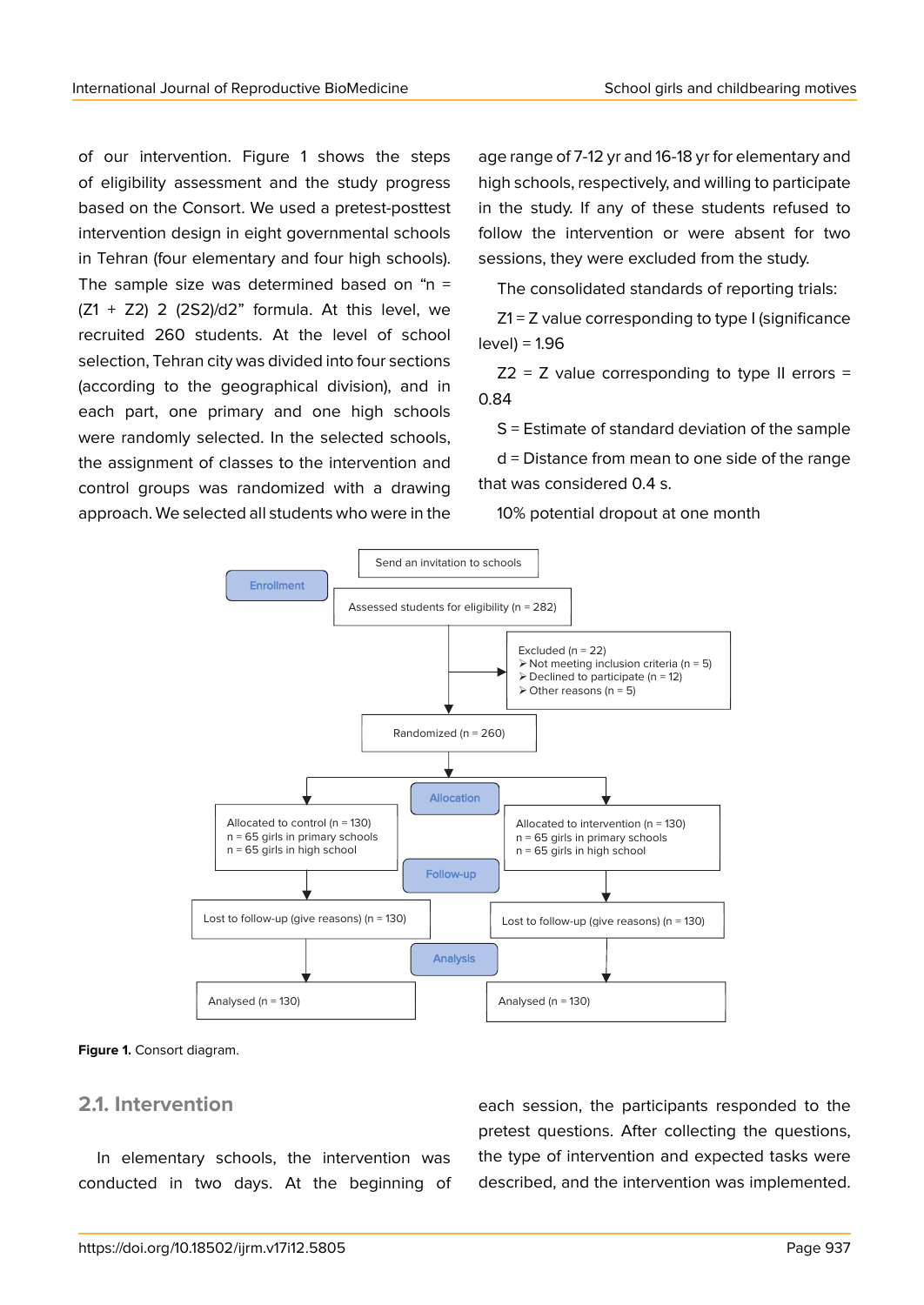of our intervention. Figure 1 shows the steps of eligibility assessment and the study progress based on the Consort. We used a pretest-posttest intervention design in eight governmental schools in Tehran (four elementary and four high schools). The sample size was determined based on " $n =$  $(Z1 + Z2)$  2  $(2S2)/d2$ " formula. At this level, we recruited 260 students. At the level of school selection, Tehran city was divided into four sections (according to the geographical division), and in each part, one primary and one high schools were randomly selected. In the selected schools, the assignment of classes to the intervention and control groups was randomized with a drawing approach. We selected all students who were in the

age range of 7-12 yr and 16-18 yr for elementary and high schools, respectively, and willing to participate in the study. If any of these students refused to follow the intervention or were absent for two sessions, they were excluded from the study.

The consolidated standards of reporting trials:

Z1 = Z value corresponding to type I (significance level) = 1.96

 $Z2 = Z$  value corresponding to type II errors = 0.84

S = Estimate of standard deviation of the sample

d = Distance from mean to one side of the range that was considered 0.4 s.

10% potential dropout at one month



#### **Figure 1.** Consort diagram.

#### **2.1. Intervention**

In elementary schools, the intervention was conducted in two days. At the beginning of each session, the participants responded to the pretest questions. After collecting the questions, the type of intervention and expected tasks were described, and the intervention was implemented.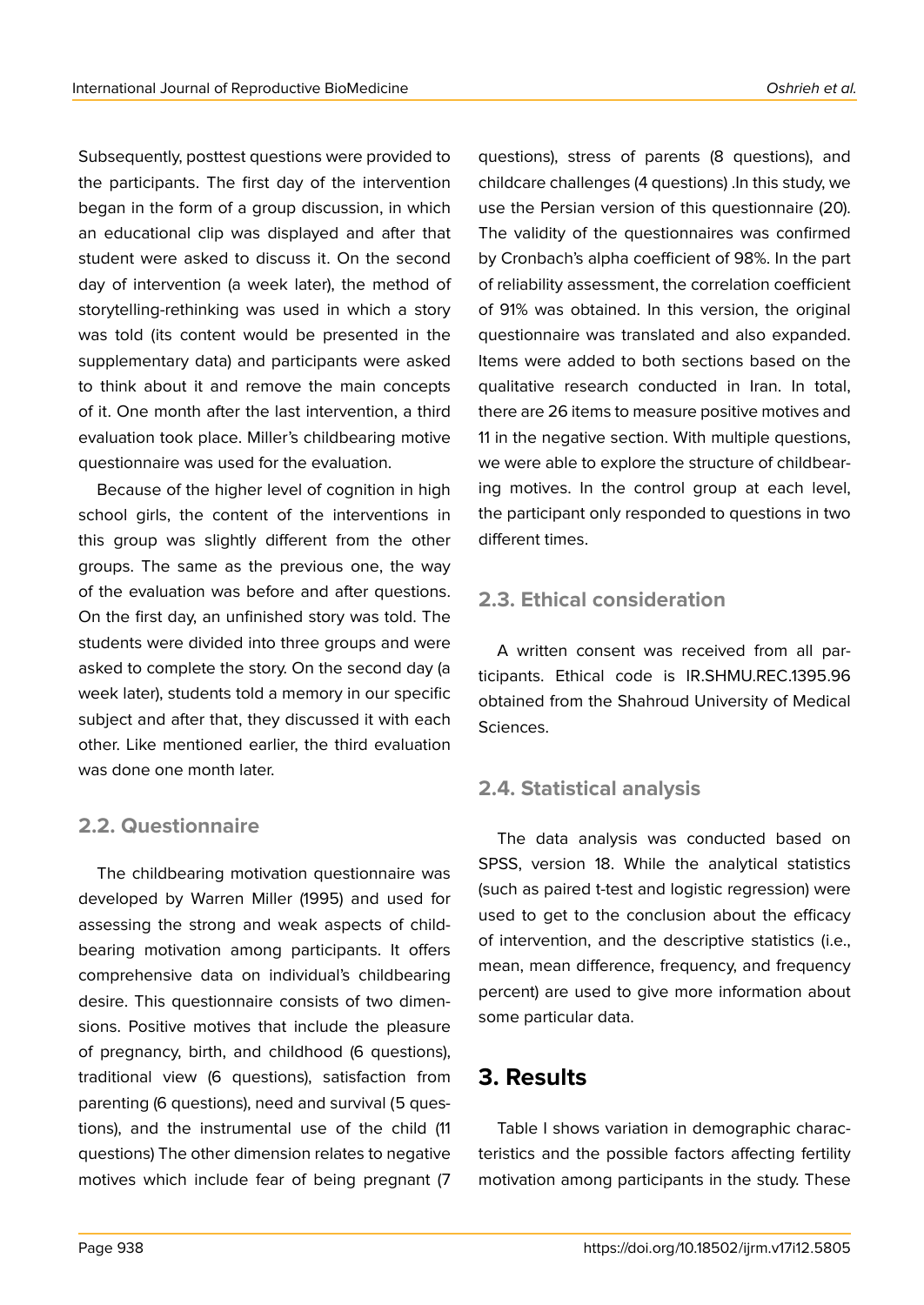Subsequently, posttest questions were provided to the participants. The first day of the intervention began in the form of a group discussion, in which an educational clip was displayed and after that student were asked to discuss it. On the second day of intervention (a week later), the method of

storytelling-rethinking was used in which a story was told (its content would be presented in the supplementary data) and participants were asked to think about it and remove the main concepts of it. One month after the last intervention, a third evaluation took place. Miller's childbearing motive questionnaire was used for the evaluation.

Because of the higher level of cognition in high school girls, the content of the interventions in this group was slightly different from the other groups. The same as the previous one, the way of the evaluation was before and after questions. On the first day, an unfinished story was told. The students were divided into three groups and were asked to complete the story. On the second day (a week later), students told a memory in our specific subject and after that, they discussed it with each other. Like mentioned earlier, the third evaluation was done one month later.

### **2.2. Questionnaire**

The childbearing motivation questionnaire was developed by Warren Miller (1995) and used for assessing the strong and weak aspects of childbearing motivation among participants. It offers comprehensive data on individual's childbearing desire. This questionnaire consists of two dimensions. Positive motives that include the pleasure of pregnancy, birth, and childhood (6 questions), traditional view (6 questions), satisfaction from parenting (6 questions), need and survival (5 questions), and the instrumental use of the child (11 questions) The other dimension relates to negative motives which include fear of being pregnant (7

questions), stress of parents (8 questions), and childcare challenges (4 questions) .In this study, we use the Persian version of this questionnaire (20). The validity of the questionnaires was confirmed by Cronbach's alpha coefficient of 98%. In the part of reliability assessment, the correlation coefficient of 91% was obtained. In this version, the original questionnaire was translated and also expanded. Items were added to both sections based on the qualitative research conducted in Iran. In total, there are 26 items to measure positive motives and 11 in the negative section. With multiple questions, we were able to explore the structure of childbearing motives. In the control group at each level, the participant only responded to questions in two different times.

### **2.3. Ethical consideration**

A written consent was received from all participants. Ethical code is IR.SHMU.REC.1395.96 obtained from the Shahroud University of Medical Sciences.

### **2.4. Statistical analysis**

The data analysis was conducted based on SPSS, version 18. While the analytical statistics (such as paired t-test and logistic regression) were used to get to the conclusion about the efficacy of intervention, and the descriptive statistics (i.e., mean, mean difference, frequency, and frequency percent) are used to give more information about some particular data.

## **3. Results**

Table I shows variation in demographic characteristics and the possible factors affecting fertility motivation among participants in the study. These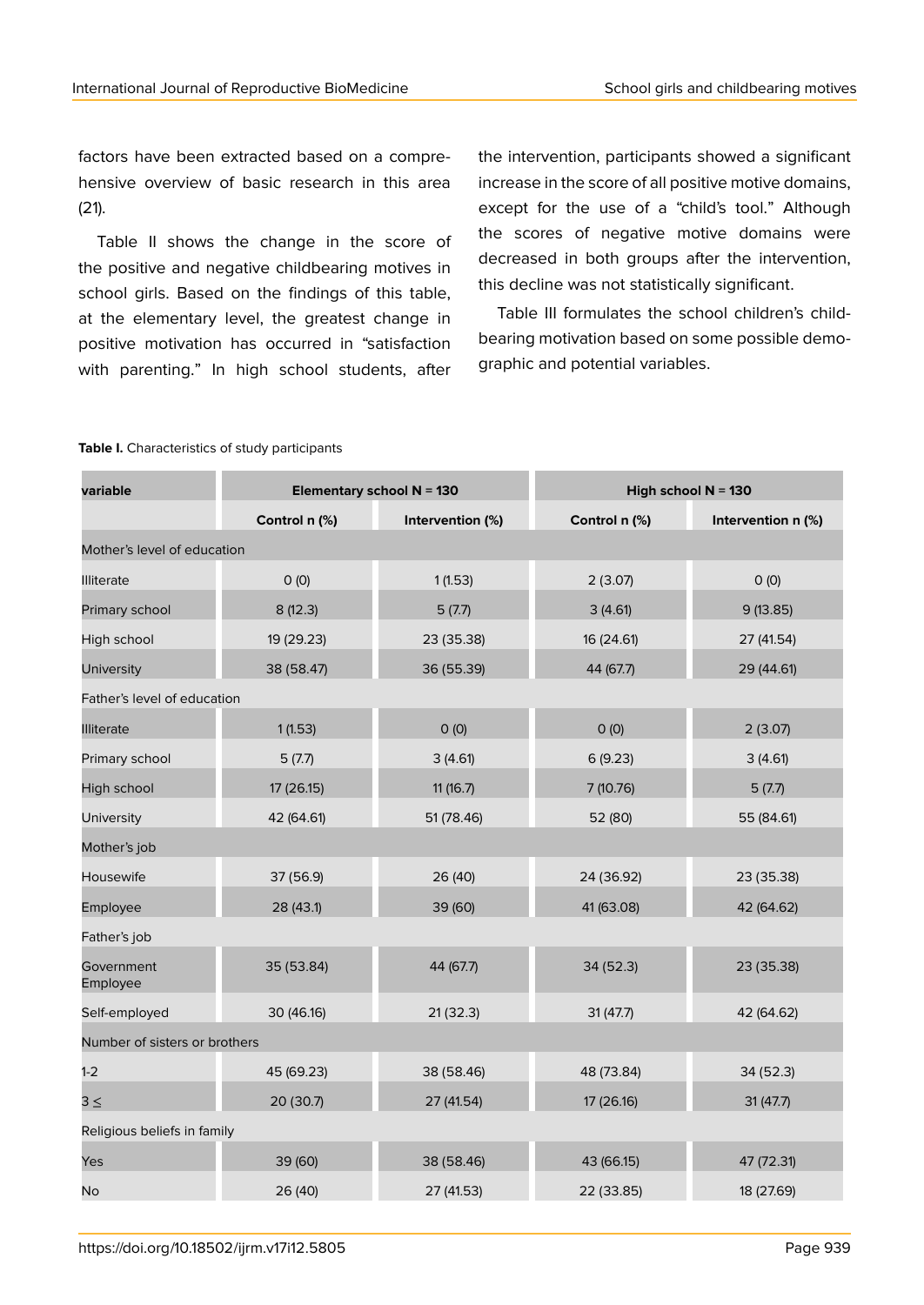factors have been extracted based on a comprehensive overview of basic research in this area (21).

Table II shows the change in the score of the positive and negative childbearing motives in school girls. Based on the findings of this table, at the elementary level, the greatest change in positive motivation has occurred in "satisfaction with parenting." In high school students, after the intervention, participants showed a significant increase in the score of all positive motive domains, except for the use of a "child's tool." Although the scores of negative motive domains were decreased in both groups after the intervention, this decline was not statistically significant.

Table III formulates the school children's childbearing motivation based on some possible demographic and potential variables.

| variable                      | Elementary school $N = 130$ |                  | High school $N = 130$ |                    |  |  |  |  |
|-------------------------------|-----------------------------|------------------|-----------------------|--------------------|--|--|--|--|
|                               | Control n (%)               | Intervention (%) | Control n (%)         | Intervention n (%) |  |  |  |  |
| Mother's level of education   |                             |                  |                       |                    |  |  |  |  |
| <b>Illiterate</b>             | O(0)                        | 1(1.53)          | 2(3.07)               | O(0)               |  |  |  |  |
| Primary school                | 8(12.3)                     | 5(7.7)           | 3(4.61)               | 9(13.85)           |  |  |  |  |
| High school                   | 19 (29.23)                  | 23 (35.38)       | 16 (24.61)            | 27 (41.54)         |  |  |  |  |
| <b>University</b>             | 38 (58.47)                  | 36 (55.39)       | 44 (67.7)             | 29 (44.61)         |  |  |  |  |
| Father's level of education   |                             |                  |                       |                    |  |  |  |  |
| <b>Illiterate</b>             | 1(1.53)                     | $O$ (O)          | O(0)                  | 2(3.07)            |  |  |  |  |
| Primary school                | 5(7.7)                      | 3(4.61)          | 6(9.23)               | 3(4.61)            |  |  |  |  |
| High school                   | 17 (26.15)                  | 11 (16.7)        | 7 (10.76)             | 5(7.7)             |  |  |  |  |
| University                    | 42 (64.61)                  | 51 (78.46)       | 52 (80)               | 55 (84.61)         |  |  |  |  |
| Mother's job                  |                             |                  |                       |                    |  |  |  |  |
| Housewife                     | 37 (56.9)                   | 26 (40)          | 24 (36.92)            | 23 (35.38)         |  |  |  |  |
| Employee                      | 28 (43.1)                   | 39 (60)          | 41 (63.08)            | 42 (64.62)         |  |  |  |  |
| Father's job                  |                             |                  |                       |                    |  |  |  |  |
| Government<br>Employee        | 35 (53.84)                  | 44 (67.7)        | 34(52.3)              | 23 (35.38)         |  |  |  |  |
| Self-employed                 | 30 (46.16)                  | 21(32.3)         | 31(47.7)              | 42 (64.62)         |  |  |  |  |
| Number of sisters or brothers |                             |                  |                       |                    |  |  |  |  |
| $1 - 2$                       | 45 (69.23)                  | 38 (58.46)       | 48 (73.84)            | 34 (52.3)          |  |  |  |  |
| $3 \leq$                      | 20 (30.7)                   | 27 (41.54)       | 17 (26.16)            | 31(47.7)           |  |  |  |  |
| Religious beliefs in family   |                             |                  |                       |                    |  |  |  |  |
| Yes                           | 39 (60)                     | 38 (58.46)       | 43 (66.15)            | 47 (72.31)         |  |  |  |  |
| No                            | 26 (40)                     | 27 (41.53)       | 22 (33.85)            | 18 (27.69)         |  |  |  |  |

#### **Table I.** Characteristics of study participants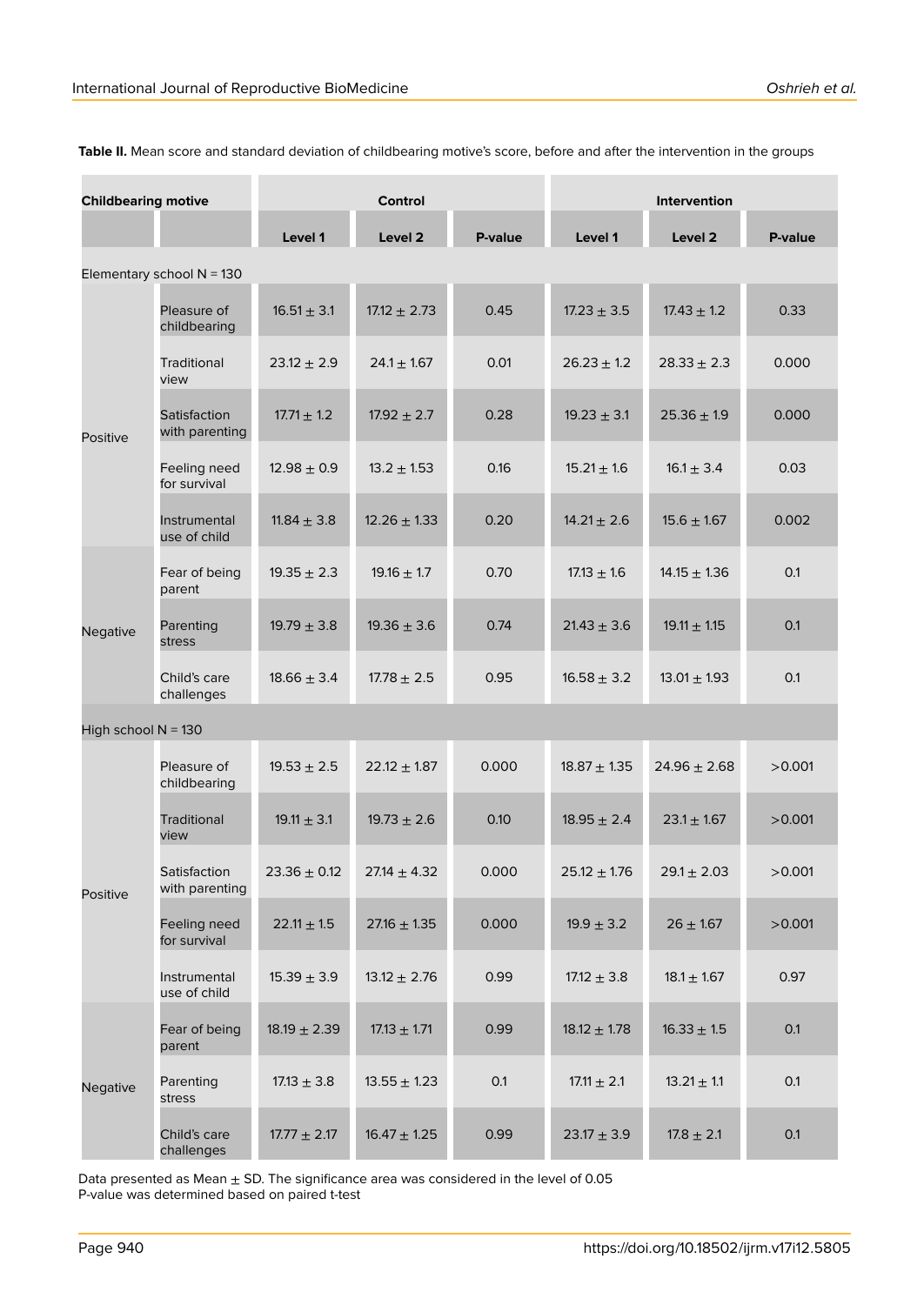| <b>Childbearing motive</b>  |                                | <b>Control</b>   |                  |         | <b>Intervention</b> |                  |         |
|-----------------------------|--------------------------------|------------------|------------------|---------|---------------------|------------------|---------|
|                             |                                | Level 1          | Level 2          | P-value | Level 1             | Level 2          | P-value |
| Elementary school $N = 130$ |                                |                  |                  |         |                     |                  |         |
| Positive                    | Pleasure of<br>childbearing    | $16.51 \pm 3.1$  | $17.12 \pm 2.73$ | 0.45    | $17.23 \pm 3.5$     | $17.43 \pm 1.2$  | 0.33    |
|                             | Traditional<br>view            | $23.12 \pm 2.9$  | $24.1 \pm 1.67$  | 0.01    | $26.23 \pm 1.2$     | $28.33 \pm 2.3$  | 0.000   |
|                             | Satisfaction<br>with parenting | $17.71 \pm 1.2$  | $17.92 \pm 2.7$  | 0.28    | $19.23 \pm 3.1$     | $25.36 \pm 1.9$  | 0.000   |
|                             | Feeling need<br>for survival   | $12.98 \pm 0.9$  | $13.2 \pm 1.53$  | 0.16    | $15.21 \pm 1.6$     | $16.1 \pm 3.4$   | 0.03    |
|                             | Instrumental<br>use of child   | $11.84 \pm 3.8$  | $12.26 \pm 1.33$ | 0.20    | $14.21 \pm 2.6$     | $15.6 \pm 1.67$  | 0.002   |
| Negative                    | Fear of being<br>parent        | $19.35 \pm 2.3$  | $19.16 \pm 1.7$  | 0.70    | $17.13 \pm 1.6$     | $14.15 \pm 1.36$ | 0.1     |
|                             | Parenting<br>stress            | $19.79 \pm 3.8$  | $19.36 \pm 3.6$  | 0.74    | $21.43 \pm 3.6$     | $19.11 \pm 1.15$ | 0.1     |
|                             | Child's care<br>challenges     | $18.66 \pm 3.4$  | $17.78 \pm 2.5$  | 0.95    | $16.58 \pm 3.2$     | $13.01 \pm 1.93$ | 0.1     |
| High school $N = 130$       |                                |                  |                  |         |                     |                  |         |
| Positive                    | Pleasure of<br>childbearing    | $19.53 \pm 2.5$  | $22.12 \pm 1.87$ | 0.000   | $18.87 \pm 1.35$    | $24.96 \pm 2.68$ | >0.001  |
|                             | Traditional<br>view            | $19.11 \pm 3.1$  | $19.73 \pm 2.6$  | 0.10    | $18.95 \pm 2.4$     | $23.1 \pm 1.67$  | >0.001  |
|                             | Satisfaction<br>with parenting | $23.36 \pm 0.12$ | $27.14 \pm 4.32$ | 0.000   | $25.12 \pm 1.76$    | $29.1 \pm 2.03$  | >0.001  |
|                             | Feeling need<br>for survival   | $22.11 \pm 1.5$  | $27.16 \pm 1.35$ | 0.000   | $19.9 \pm 3.2$      | $26 \pm 1.67$    | >0.001  |
|                             | Instrumental<br>use of child   | $15.39 \pm 3.9$  | $13.12 \pm 2.76$ | 0.99    | $17.12 \pm 3.8$     | $18.1 \pm 1.67$  | 0.97    |
| Negative                    | Fear of being<br>parent        | $18.19 \pm 2.39$ | $17.13 \pm 1.71$ | 0.99    | $18.12 \pm 1.78$    | $16.33 \pm 1.5$  | 0.1     |
|                             | Parenting<br>stress            | $17.13 \pm 3.8$  | $13.55 \pm 1.23$ | 0.1     | $17.11 \pm 2.1$     | $13.21 \pm 1.1$  | 0.1     |
|                             | Child's care<br>challenges     | $17.77 \pm 2.17$ | $16.47 \pm 1.25$ | 0.99    | $23.17 \pm 3.9$     | $17.8 \pm 2.1$   | 0.1     |

**Table II.** Mean score and standard deviation of childbearing motive's score, before and after the intervention in the groups

Data presented as Mean  $\pm$  SD. The significance area was considered in the level of 0.05 P-value was determined based on paired t-test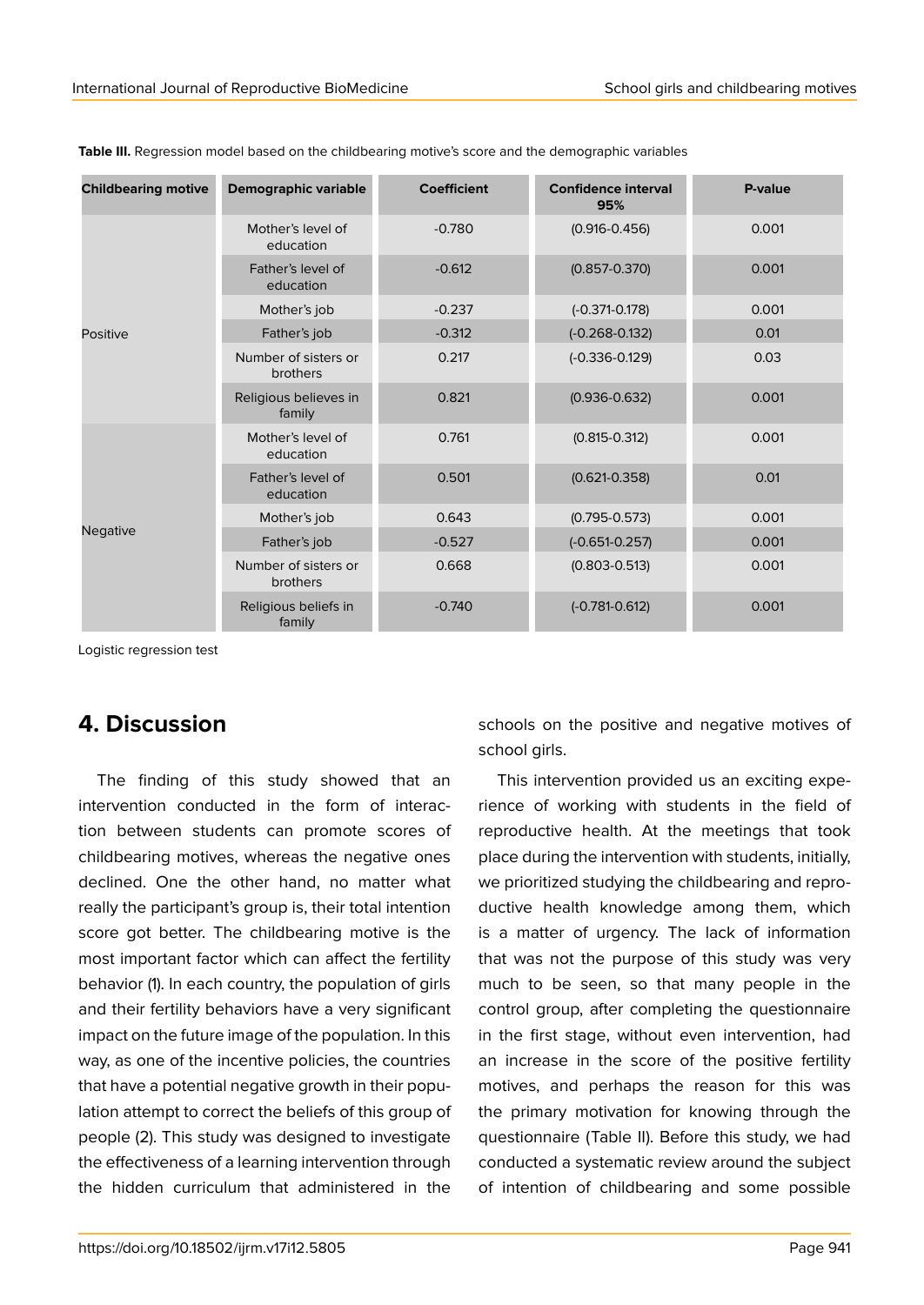| <b>Childbearing motive</b> | <b>Demographic variable</b>      | <b>Coefficient</b> | <b>Confidence interval</b><br>95% | P-value |
|----------------------------|----------------------------------|--------------------|-----------------------------------|---------|
| <b>Positive</b>            | Mother's level of<br>education   | $-0.780$           | $(0.916 - 0.456)$                 | 0.001   |
|                            | Father's level of<br>education   | $-0.612$           | $(0.857 - 0.370)$                 | 0.001   |
|                            | Mother's job                     | $-0.237$           | $(-0.371 - 0.178)$                | 0.001   |
|                            | Father's job                     | $-0.312$           | $(-0.268 - 0.132)$                | 0.01    |
|                            | Number of sisters or<br>brothers | 0.217              | $(-0.336 - 0.129)$                | 0.03    |
|                            | Religious believes in<br>family  | 0.821              | $(0.936 - 0.632)$                 | 0.001   |
| <b>Negative</b>            | Mother's level of<br>education   | 0.761              | $(0.815 - 0.312)$                 | 0.001   |
|                            | Father's level of<br>education   | 0.501              | $(0.621 - 0.358)$                 | 0.01    |
|                            | Mother's job                     | 0.643              | $(0.795 - 0.573)$                 | 0.001   |
|                            | Father's job                     | $-0.527$           | $(-0.651 - 0.257)$                | 0.001   |
|                            | Number of sisters or<br>brothers | 0.668              | $(0.803 - 0.513)$                 | 0.001   |
|                            | Religious beliefs in<br>family   | $-0.740$           | $(-0.781 - 0.612)$                | 0.001   |

**Table III.** Regression model based on the childbearing motive's score and the demographic variables

Logistic regression test

## **4. Discussion**

The finding of this study showed that an intervention conducted in the form of interaction between students can promote scores of childbearing motives, whereas the negative ones declined. One the other hand, no matter what really the participant's group is, their total intention score got better. The childbearing motive is the most important factor which can affect the fertility behavior (1). In each country, the population of girls and their fertility behaviors have a very significant impact on the future image of the population. In this way, as one of the incentive policies, the countries that have a potential negative growth in their population attempt to correct the beliefs of this group of people (2). This study was designed to investigate the effectiveness of a learning intervention through the hidden curriculum that administered in the

schools on the positive and negative motives of school girls.

This intervention provided us an exciting experience of working with students in the field of reproductive health. At the meetings that took place during the intervention with students, initially, we prioritized studying the childbearing and reproductive health knowledge among them, which is a matter of urgency. The lack of information that was not the purpose of this study was very much to be seen, so that many people in the control group, after completing the questionnaire in the first stage, without even intervention, had an increase in the score of the positive fertility motives, and perhaps the reason for this was the primary motivation for knowing through the questionnaire (Table II). Before this study, we had conducted a systematic review around the subject of intention of childbearing and some possible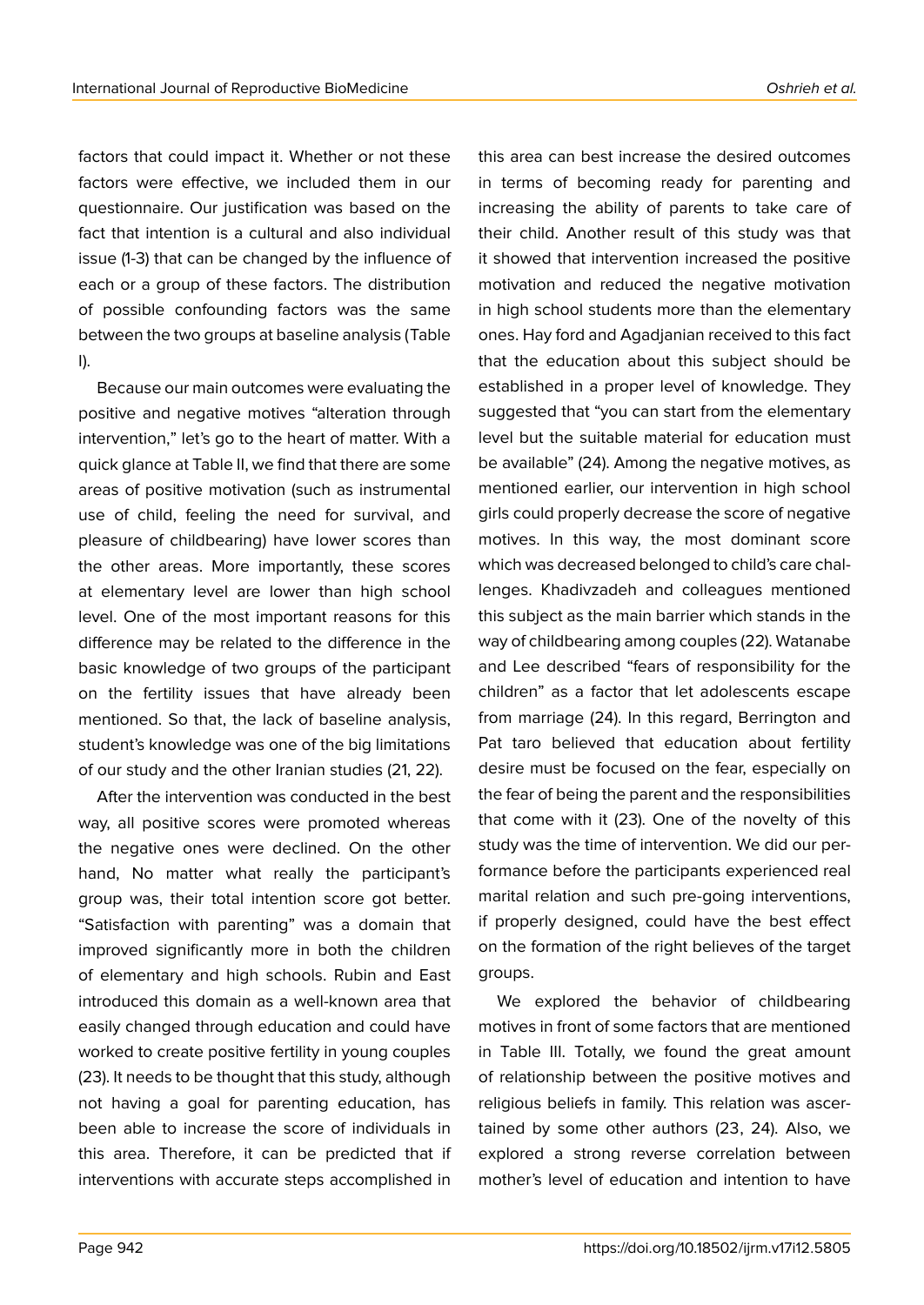factors that could impact it. Whether or not these factors were effective, we included them in our questionnaire. Our justification was based on the fact that intention is a cultural and also individual issue (1-3) that can be changed by the influence of each or a group of these factors. The distribution of possible confounding factors was the same between the two groups at baseline analysis (Table I).

Because our main outcomes were evaluating the positive and negative motives "alteration through intervention," let's go to the heart of matter. With a quick glance at Table II, we find that there are some areas of positive motivation (such as instrumental use of child, feeling the need for survival, and pleasure of childbearing) have lower scores than the other areas. More importantly, these scores at elementary level are lower than high school level. One of the most important reasons for this difference may be related to the difference in the basic knowledge of two groups of the participant on the fertility issues that have already been mentioned. So that, the lack of baseline analysis, student's knowledge was one of the big limitations of our study and the other Iranian studies (21, 22).

After the intervention was conducted in the best way, all positive scores were promoted whereas the negative ones were declined. On the other hand, No matter what really the participant's group was, their total intention score got better. "Satisfaction with parenting" was a domain that improved significantly more in both the children of elementary and high schools. Rubin and East introduced this domain as a well-known area that easily changed through education and could have worked to create positive fertility in young couples (23). It needs to be thought that this study, although not having a goal for parenting education, has been able to increase the score of individuals in this area. Therefore, it can be predicted that if interventions with accurate steps accomplished in

in terms of becoming ready for parenting and increasing the ability of parents to take care of their child. Another result of this study was that it showed that intervention increased the positive motivation and reduced the negative motivation in high school students more than the elementary ones. Hay ford and Agadjanian received to this fact that the education about this subject should be established in a proper level of knowledge. They suggested that "you can start from the elementary level but the suitable material for education must be available" (24). Among the negative motives, as mentioned earlier, our intervention in high school girls could properly decrease the score of negative motives. In this way, the most dominant score which was decreased belonged to child's care challenges. Khadivzadeh and colleagues mentioned this subject as the main barrier which stands in the way of childbearing among couples (22). Watanabe and Lee described "fears of responsibility for the children" as a factor that let adolescents escape from marriage (24). In this regard, Berrington and Pat taro believed that education about fertility desire must be focused on the fear, especially on the fear of being the parent and the responsibilities that come with it (23). One of the novelty of this study was the time of intervention. We did our performance before the participants experienced real marital relation and such pre-going interventions, if properly designed, could have the best effect on the formation of the right believes of the target groups.

this area can best increase the desired outcomes

We explored the behavior of childbearing motives in front of some factors that are mentioned in Table III. Totally, we found the great amount of relationship between the positive motives and religious beliefs in family. This relation was ascertained by some other authors (23, 24). Also, we explored a strong reverse correlation between mother's level of education and intention to have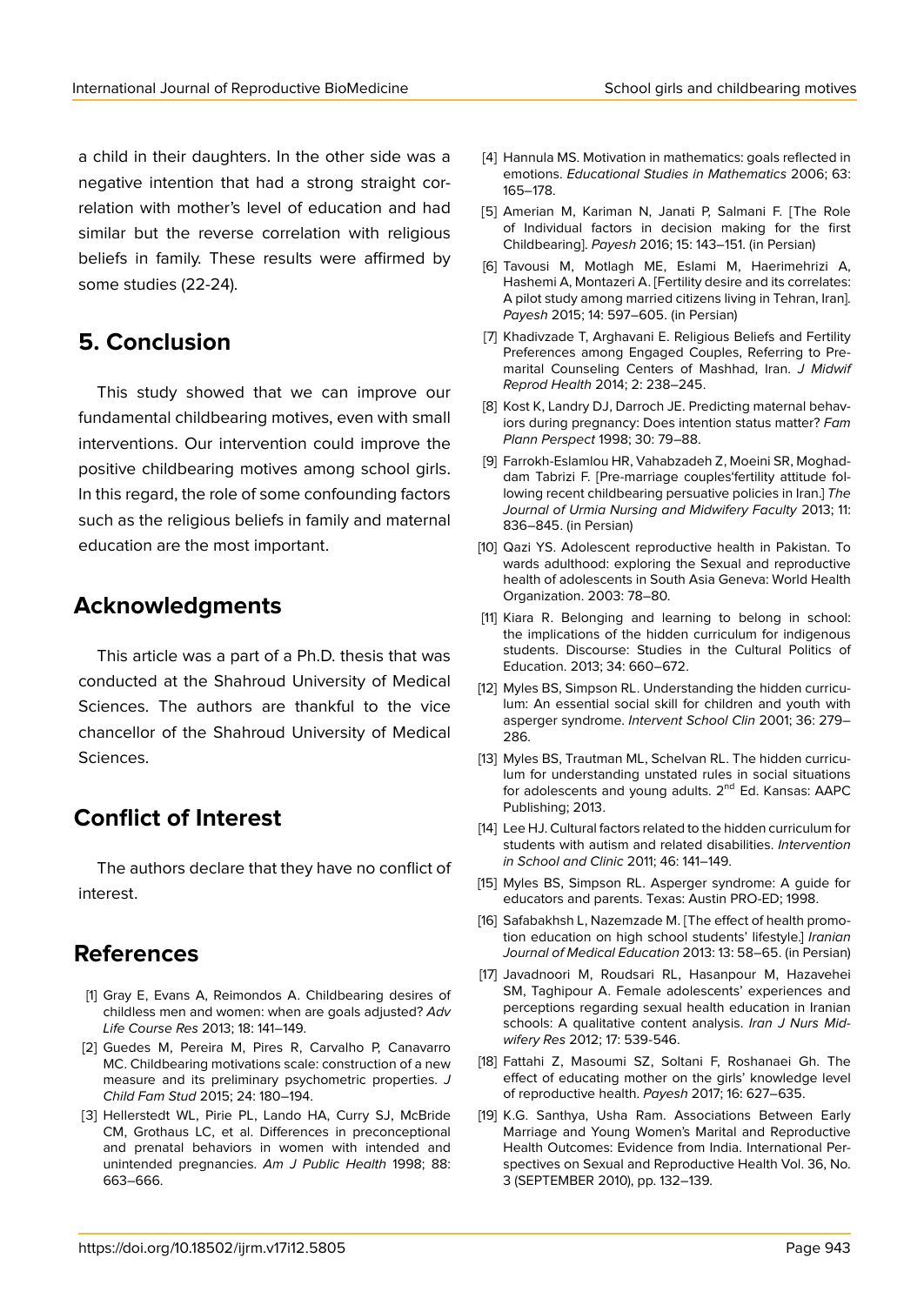a child in their daughters. In the other side was a negative intention that had a strong straight correlation with mother's level of education and had similar but the reverse correlation with religious beliefs in family. These results were affirmed by some studies (22-24).

## **5. Conclusion**

This study showed that we can improve our fundamental childbearing motives, even with small interventions. Our intervention could improve the positive childbearing motives among school girls. In this regard, the role of some confounding factors such as the religious beliefs in family and maternal education are the most important.

### **Acknowledgments**

This article was a part of a Ph.D. thesis that was conducted at the Shahroud University of Medical Sciences. The authors are thankful to the vice chancellor of the Shahroud University of Medical Sciences.

## **Conflict of Interest**

The authors declare that they have no conflict of interest.

## **References**

- [1] Gray E, Evans A, Reimondos A. Childbearing desires of childless men and women: when are goals adjusted? *Adv Life Course Res* 2013; 18: 141–149.
- [2] Guedes M, Pereira M, Pires R, Carvalho P, Canavarro MC. Childbearing motivations scale: construction of a new measure and its preliminary psychometric properties. *J Child Fam Stud* 2015; 24: 180–194.
- [3] Hellerstedt WL, Pirie PL, Lando HA, Curry SJ, McBride CM, Grothaus LC, et al. Differences in preconceptional and prenatal behaviors in women with intended and unintended pregnancies. *Am J Public Health* 1998; 88: 663–666.
- [4] Hannula MS. Motivation in mathematics: goals reflected in emotions. *Educational Studies in Mathematics* 2006; 63: 165–178.
- [5] Amerian M, Kariman N, Janati P, Salmani F. [The Role of Individual factors in decision making for the first Childbearing]. *Payesh* 2016; 15: 143–151. (in Persian)
- [6] Tavousi M, Motlagh ME, Eslami M, Haerimehrizi A, Hashemi A, Montazeri A. [Fertility desire and its correlates: A pilot study among married citizens living in Tehran, Iran]. *Payesh* 2015; 14: 597–605. (in Persian)
- [7] Khadivzade T, Arghavani E. Religious Beliefs and Fertility Preferences among Engaged Couples, Referring to Premarital Counseling Centers of Mashhad, Iran. *J Midwif Reprod Health* 2014; 2: 238–245.
- [8] Kost K, Landry DJ, Darroch JE. Predicting maternal behaviors during pregnancy: Does intention status matter? *Fam Plann Perspect* 1998; 30: 79–88.
- [9] Farrokh-Eslamlou HR, Vahabzadeh Z, Moeini SR, Moghaddam Tabrizi F. [Pre-marriage couples'fertility attitude following recent childbearing persuative policies in Iran.] *The Journal of Urmia Nursing and Midwifery Faculty* 2013; 11: 836–845. (in Persian)
- [10] Qazi YS. Adolescent reproductive health in Pakistan. To wards adulthood: exploring the Sexual and reproductive health of adolescents in South Asia Geneva: World Health Organization. 2003: 78–80.
- [11] Kiara R. Belonging and learning to belong in school: the implications of the hidden curriculum for indigenous students. Discourse: Studies in the Cultural Politics of Education. 2013; 34: 660–672.
- [12] Myles BS, Simpson RL. Understanding the hidden curriculum: An essential social skill for children and youth with asperger syndrome. *Intervent School Clin* 2001; 36: 279– 286.
- [13] Myles BS, Trautman ML, Schelvan RL. The hidden curriculum for understanding unstated rules in social situations for adolescents and young adults.  $2^{nd}$  Ed. Kansas: AAPC Publishing; 2013.
- [14] Lee HJ. Cultural factors related to the hidden curriculum for students with autism and related disabilities. *Intervention in School and Clinic* 2011; 46: 141–149.
- [15] Myles BS, Simpson RL. Asperger syndrome: A quide for educators and parents. Texas: Austin PRO-ED; 1998.
- [16] Safabakhsh L, Nazemzade M. [The effect of health promotion education on high school students' lifestyle.] *Iranian Journal of Medical Education* 2013: 13: 58–65. (in Persian)
- [17] Javadnoori M, Roudsari RL, Hasanpour M, Hazavehei SM, Taghipour A. Female adolescents' experiences and perceptions regarding sexual health education in Iranian schools: A qualitative content analysis. *Iran J Nurs Midwifery Res* 2012; 17: 539-546.
- [18] Fattahi Z, Masoumi SZ, Soltani F, Roshanaei Gh. The effect of educating mother on the girls' knowledge level of reproductive health. *Payesh* 2017; 16: 627–635.
- [19] K.G. Santhya, Usha Ram. Associations Between Early Marriage and Young Women's Marital and Reproductive Health Outcomes: Evidence from India. International Perspectives on Sexual and Reproductive Health Vol. 36, No. 3 (SEPTEMBER 2010), pp. 132–139.